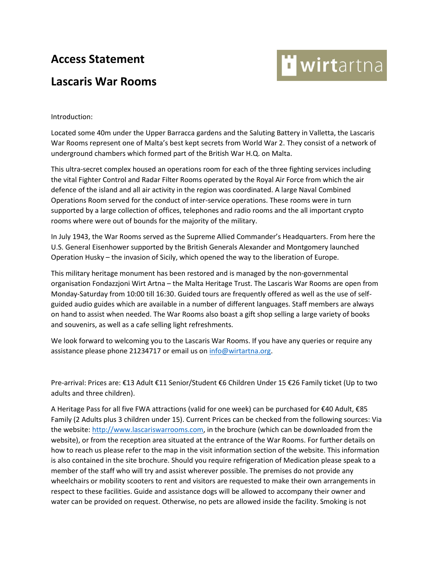## **Access Statement Lascaris War Rooms**



## Introduction:

Located some 40m under the Upper Barracca gardens and the Saluting Battery in Valletta, the Lascaris War Rooms represent one of Malta's best kept secrets from World War 2. They consist of a network of underground chambers which formed part of the British War H.Q. on Malta.

This ultra-secret complex housed an operations room for each of the three fighting services including the vital Fighter Control and Radar Filter Rooms operated by the Royal Air Force from which the air defence of the island and all air activity in the region was coordinated. A large Naval Combined Operations Room served for the conduct of inter-service operations. These rooms were in turn supported by a large collection of offices, telephones and radio rooms and the all important crypto rooms where were out of bounds for the majority of the military.

In July 1943, the War Rooms served as the Supreme Allied Commander's Headquarters. From here the U.S. General Eisenhower supported by the British Generals Alexander and Montgomery launched Operation Husky – the invasion of Sicily, which opened the way to the liberation of Europe.

This military heritage monument has been restored and is managed by the non-governmental organisation Fondazzjoni Wirt Artna – the Malta Heritage Trust. The Lascaris War Rooms are open from Monday-Saturday from 10:00 till 16:30. Guided tours are frequently offered as well as the use of selfguided audio guides which are available in a number of different languages. Staff members are always on hand to assist when needed. The War Rooms also boast a gift shop selling a large variety of books and souvenirs, as well as a cafe selling light refreshments.

We look forward to welcoming you to the Lascaris War Rooms. If you have any queries or require any assistance please phone 21234717 or email us on [info@wirtartna.org.](mailto:info@wirtartna.org)

Pre-arrival: Prices are: €13 Adult €11 Senior/Student €6 Children Under 15 €26 Family ticket (Up to two adults and three children).

A Heritage Pass for all five FWA attractions (valid for one week) can be purchased for €40 Adult, €85 Family (2 Adults plus 3 children under 15). Current Prices can be checked from the following sources: Via the website: [http://www.lascariswarrooms.com,](http://www.lascariswarrooms.com/) in the brochure (which can be downloaded from the website), or from the reception area situated at the entrance of the War Rooms. For further details on how to reach us please refer to the map in the visit information section of the website. This information is also contained in the site brochure. Should you require refrigeration of Medication please speak to a member of the staff who will try and assist wherever possible. The premises do not provide any wheelchairs or mobility scooters to rent and visitors are requested to make their own arrangements in respect to these facilities. Guide and assistance dogs will be allowed to accompany their owner and water can be provided on request. Otherwise, no pets are allowed inside the facility. Smoking is not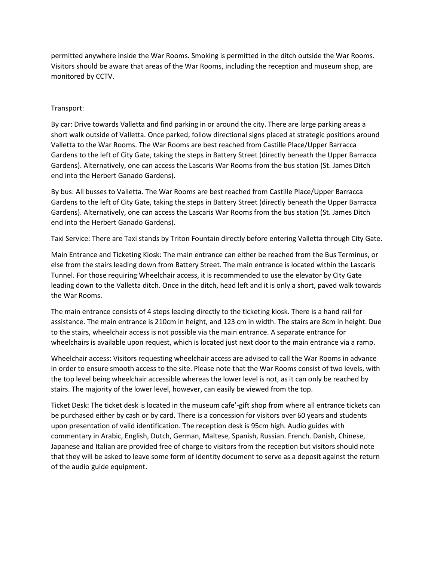permitted anywhere inside the War Rooms. Smoking is permitted in the ditch outside the War Rooms. Visitors should be aware that areas of the War Rooms, including the reception and museum shop, are monitored by CCTV.

## Transport:

By car: Drive towards Valletta and find parking in or around the city. There are large parking areas a short walk outside of Valletta. Once parked, follow directional signs placed at strategic positions around Valletta to the War Rooms. The War Rooms are best reached from Castille Place/Upper Barracca Gardens to the left of City Gate, taking the steps in Battery Street (directly beneath the Upper Barracca Gardens). Alternatively, one can access the Lascaris War Rooms from the bus station (St. James Ditch end into the Herbert Ganado Gardens).

By bus: All busses to Valletta. The War Rooms are best reached from Castille Place/Upper Barracca Gardens to the left of City Gate, taking the steps in Battery Street (directly beneath the Upper Barracca Gardens). Alternatively, one can access the Lascaris War Rooms from the bus station (St. James Ditch end into the Herbert Ganado Gardens).

Taxi Service: There are Taxi stands by Triton Fountain directly before entering Valletta through City Gate.

Main Entrance and Ticketing Kiosk: The main entrance can either be reached from the Bus Terminus, or else from the stairs leading down from Battery Street. The main entrance is located within the Lascaris Tunnel. For those requiring Wheelchair access, it is recommended to use the elevator by City Gate leading down to the Valletta ditch. Once in the ditch, head left and it is only a short, paved walk towards the War Rooms.

The main entrance consists of 4 steps leading directly to the ticketing kiosk. There is a hand rail for assistance. The main entrance is 210cm in height, and 123 cm in width. The stairs are 8cm in height. Due to the stairs, wheelchair access is not possible via the main entrance. A separate entrance for wheelchairs is available upon request, which is located just next door to the main entrance via a ramp.

Wheelchair access: Visitors requesting wheelchair access are advised to call the War Rooms in advance in order to ensure smooth access to the site. Please note that the War Rooms consist of two levels, with the top level being wheelchair accessible whereas the lower level is not, as it can only be reached by stairs. The majority of the lower level, however, can easily be viewed from the top.

Ticket Desk: The ticket desk is located in the museum cafe'-gift shop from where all entrance tickets can be purchased either by cash or by card. There is a concession for visitors over 60 years and students upon presentation of valid identification. The reception desk is 95cm high. Audio guides with commentary in Arabic, English, Dutch, German, Maltese, Spanish, Russian. French. Danish, Chinese, Japanese and Italian are provided free of charge to visitors from the reception but visitors should note that they will be asked to leave some form of identity document to serve as a deposit against the return of the audio guide equipment.